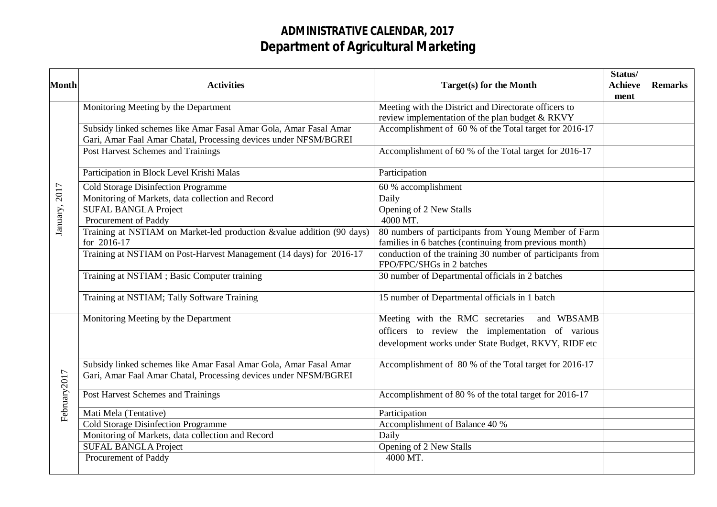## **ADMINISTRATIVE CALENDAR, 2017 Department of Agricultural Marketing**

|                          |                                                                                                                                       |                                                                                        | Status/                |                |
|--------------------------|---------------------------------------------------------------------------------------------------------------------------------------|----------------------------------------------------------------------------------------|------------------------|----------------|
| <b>Month</b>             | <b>Activities</b>                                                                                                                     | Target(s) for the Month                                                                | <b>Achieve</b><br>ment | <b>Remarks</b> |
|                          | Monitoring Meeting by the Department                                                                                                  | Meeting with the District and Directorate officers to                                  |                        |                |
|                          |                                                                                                                                       | review implementation of the plan budget & RKVY                                        |                        |                |
|                          | Subsidy linked schemes like Amar Fasal Amar Gola, Amar Fasal Amar                                                                     | Accomplishment of 60 % of the Total target for 2016-17                                 |                        |                |
| January, 2017            | Gari, Amar Faal Amar Chatal, Processing devices under NFSM/BGREI                                                                      |                                                                                        |                        |                |
|                          | <b>Post Harvest Schemes and Trainings</b>                                                                                             | Accomplishment of 60 % of the Total target for 2016-17                                 |                        |                |
|                          | Participation in Block Level Krishi Malas                                                                                             | Participation                                                                          |                        |                |
|                          | <b>Cold Storage Disinfection Programme</b>                                                                                            | 60 % accomplishment                                                                    |                        |                |
|                          | Monitoring of Markets, data collection and Record                                                                                     | Daily                                                                                  |                        |                |
|                          | <b>SUFAL BANGLA Project</b>                                                                                                           | Opening of 2 New Stalls                                                                |                        |                |
|                          | Procurement of Paddy                                                                                                                  | 4000 MT.                                                                               |                        |                |
|                          | Training at NSTIAM on Market-led production &value addition (90 days)                                                                 | 80 numbers of participants from Young Member of Farm                                   |                        |                |
|                          | for 2016-17                                                                                                                           | families in 6 batches (continuing from previous month)                                 |                        |                |
|                          | Training at NSTIAM on Post-Harvest Management (14 days) for 2016-17                                                                   | conduction of the training 30 number of participants from<br>FPO/FPC/SHGs in 2 batches |                        |                |
|                          | Training at NSTIAM; Basic Computer training                                                                                           | 30 number of Departmental officials in 2 batches                                       |                        |                |
|                          | Training at NSTIAM; Tally Software Training                                                                                           | 15 number of Departmental officials in 1 batch                                         |                        |                |
|                          | Monitoring Meeting by the Department                                                                                                  | Meeting with the RMC secretaries<br>and WBSAMB                                         |                        |                |
|                          |                                                                                                                                       | officers to review the implementation of various                                       |                        |                |
|                          |                                                                                                                                       | development works under State Budget, RKVY, RIDF etc                                   |                        |                |
|                          | Subsidy linked schemes like Amar Fasal Amar Gola, Amar Fasal Amar<br>Gari, Amar Faal Amar Chatal, Processing devices under NFSM/BGREI | Accomplishment of 80 % of the Total target for 2016-17                                 |                        |                |
| February <sub>2017</sub> | Post Harvest Schemes and Trainings                                                                                                    | Accomplishment of 80 % of the total target for 2016-17                                 |                        |                |
|                          | Mati Mela (Tentative)                                                                                                                 | Participation                                                                          |                        |                |
|                          | <b>Cold Storage Disinfection Programme</b>                                                                                            | Accomplishment of Balance 40 %                                                         |                        |                |
|                          | Monitoring of Markets, data collection and Record                                                                                     | Daily                                                                                  |                        |                |
|                          | <b>SUFAL BANGLA Project</b>                                                                                                           | Opening of 2 New Stalls                                                                |                        |                |
|                          | Procurement of Paddy                                                                                                                  | 4000 MT.                                                                               |                        |                |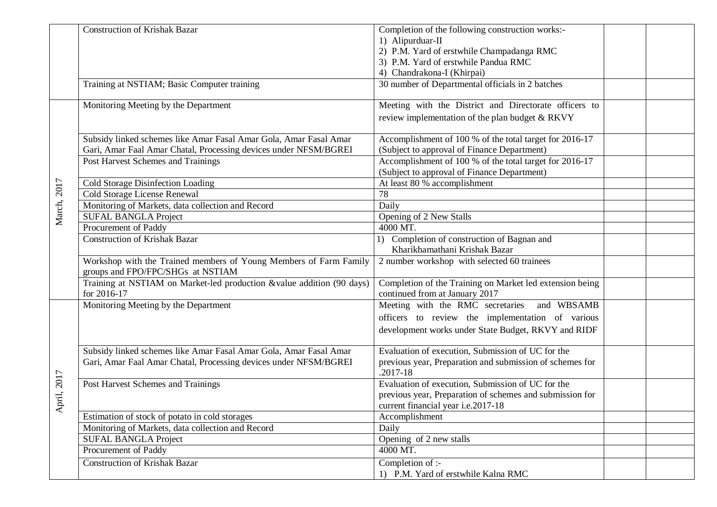|             | <b>Construction of Krishak Bazar</b>                                                                   | Completion of the following construction works:-                                           |
|-------------|--------------------------------------------------------------------------------------------------------|--------------------------------------------------------------------------------------------|
|             |                                                                                                        | 1) Alipurduar-II                                                                           |
|             |                                                                                                        | 2) P.M. Yard of erstwhile Champadanga RMC                                                  |
|             |                                                                                                        | 3) P.M. Yard of erstwhile Pandua RMC                                                       |
|             |                                                                                                        | 4) Chandrakona-I (Khirpai)                                                                 |
|             | Training at NSTIAM; Basic Computer training                                                            | 30 number of Departmental officials in 2 batches                                           |
|             | Monitoring Meeting by the Department                                                                   | Meeting with the District and Directorate officers to                                      |
|             |                                                                                                        | review implementation of the plan budget & RKVY                                            |
|             | Subsidy linked schemes like Amar Fasal Amar Gola, Amar Fasal Amar                                      | Accomplishment of 100 % of the total target for 2016-17                                    |
|             | Gari, Amar Faal Amar Chatal, Processing devices under NFSM/BGREI                                       | (Subject to approval of Finance Department)                                                |
|             | Post Harvest Schemes and Trainings                                                                     | Accomplishment of 100 % of the total target for 2016-17                                    |
|             |                                                                                                        | (Subject to approval of Finance Department)                                                |
|             | Cold Storage Disinfection Loading                                                                      | At least 80 % accomplishment                                                               |
| March, 2017 | Cold Storage License Renewal                                                                           | 78                                                                                         |
|             | Monitoring of Markets, data collection and Record                                                      | Daily                                                                                      |
|             | <b>SUFAL BANGLA Project</b>                                                                            | Opening of 2 New Stalls                                                                    |
|             | Procurement of Paddy                                                                                   | 4000 MT.                                                                                   |
|             | <b>Construction of Krishak Bazar</b>                                                                   | 1) Completion of construction of Bagnan and                                                |
|             |                                                                                                        | Kharikhamathani Krishak Bazar                                                              |
|             | Workshop with the Trained members of Young Members of Farm Family<br>groups and FPO/FPC/SHGs at NSTIAM | 2 number workshop with selected 60 trainees                                                |
|             | Training at NSTIAM on Market-led production &value addition (90 days)<br>for 2016-17                   | Completion of the Training on Market led extension being<br>continued from at January 2017 |
|             | Monitoring Meeting by the Department                                                                   | Meeting with the RMC secretaries and WBSAMB                                                |
|             |                                                                                                        | officers to review the implementation of various                                           |
|             |                                                                                                        | development works under State Budget, RKVY and RIDF                                        |
|             |                                                                                                        |                                                                                            |
|             | Subsidy linked schemes like Amar Fasal Amar Gola, Amar Fasal Amar                                      | Evaluation of execution, Submission of UC for the                                          |
|             | Gari, Amar Faal Amar Chatal, Processing devices under NFSM/BGREI                                       | previous year, Preparation and submission of schemes for<br>$.2017 - 18$                   |
| pril, 2017  | Post Harvest Schemes and Trainings                                                                     | Evaluation of execution, Submission of UC for the                                          |
|             |                                                                                                        | previous year, Preparation of schemes and submission for                                   |
| <i>द</i>    |                                                                                                        | current financial year i.e.2017-18                                                         |
|             | Estimation of stock of potato in cold storages                                                         | Accomplishment                                                                             |
|             | Monitoring of Markets, data collection and Record                                                      | Daily                                                                                      |
|             | <b>SUFAL BANGLA Project</b>                                                                            | Opening of 2 new stalls                                                                    |
|             | Procurement of Paddy                                                                                   | 4000 MT.                                                                                   |
|             | <b>Construction of Krishak Bazar</b>                                                                   | Completion of :-                                                                           |
|             |                                                                                                        | 1) P.M. Yard of erstwhile Kalna RMC                                                        |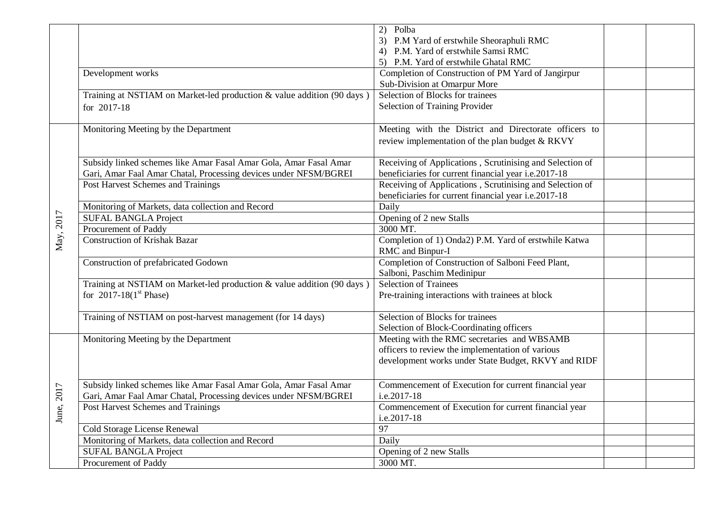|           |                                                                        | 2)<br>Polba                                              |  |
|-----------|------------------------------------------------------------------------|----------------------------------------------------------|--|
|           |                                                                        | P.M Yard of erstwhile Sheoraphuli RMC                    |  |
|           |                                                                        | 4) P.M. Yard of erstwhile Samsi RMC                      |  |
|           |                                                                        | 5) P.M. Yard of erstwhile Ghatal RMC                     |  |
|           | Development works                                                      | Completion of Construction of PM Yard of Jangirpur       |  |
|           |                                                                        | Sub-Division at Omarpur More                             |  |
|           | Training at NSTIAM on Market-led production & value addition (90 days) | Selection of Blocks for trainees                         |  |
|           | for 2017-18                                                            | Selection of Training Provider                           |  |
|           |                                                                        |                                                          |  |
|           | Monitoring Meeting by the Department                                   | Meeting with the District and Directorate officers to    |  |
|           |                                                                        | review implementation of the plan budget & RKVY          |  |
|           |                                                                        |                                                          |  |
|           | Subsidy linked schemes like Amar Fasal Amar Gola, Amar Fasal Amar      | Receiving of Applications, Scrutinising and Selection of |  |
|           | Gari, Amar Faal Amar Chatal, Processing devices under NFSM/BGREI       | beneficiaries for current financial year i.e.2017-18     |  |
|           | Post Harvest Schemes and Trainings                                     | Receiving of Applications, Scrutinising and Selection of |  |
|           |                                                                        | beneficiaries for current financial year i.e.2017-18     |  |
|           | Monitoring of Markets, data collection and Record                      | Daily                                                    |  |
|           | <b>SUFAL BANGLA Project</b>                                            | Opening of 2 new Stalls                                  |  |
| May, 2017 | Procurement of Paddy                                                   | 3000 MT.                                                 |  |
|           | <b>Construction of Krishak Bazar</b>                                   | Completion of 1) Onda2) P.M. Yard of erstwhile Katwa     |  |
|           |                                                                        | RMC and Binpur-I                                         |  |
|           | Construction of prefabricated Godown                                   | Completion of Construction of Salboni Feed Plant,        |  |
|           |                                                                        | Salboni, Paschim Medinipur                               |  |
|           | Training at NSTIAM on Market-led production & value addition (90 days) | <b>Selection of Trainees</b>                             |  |
|           | for $2017-18(1st Phase)$                                               | Pre-training interactions with trainees at block         |  |
|           |                                                                        |                                                          |  |
|           | Training of NSTIAM on post-harvest management (for 14 days)            | Selection of Blocks for trainees                         |  |
|           |                                                                        | Selection of Block-Coordinating officers                 |  |
|           | Monitoring Meeting by the Department                                   | Meeting with the RMC secretaries and WBSAMB              |  |
|           |                                                                        | officers to review the implementation of various         |  |
|           |                                                                        | development works under State Budget, RKVY and RIDF      |  |
|           |                                                                        |                                                          |  |
|           | Subsidy linked schemes like Amar Fasal Amar Gola, Amar Fasal Amar      | Commencement of Execution for current financial year     |  |
| 2017      | Gari, Amar Faal Amar Chatal, Processing devices under NFSM/BGREI       | i.e.2017-18                                              |  |
|           | Post Harvest Schemes and Trainings                                     | Commencement of Execution for current financial year     |  |
| June,     |                                                                        | i.e.2017-18                                              |  |
|           | Cold Storage License Renewal                                           | 97                                                       |  |
|           | Monitoring of Markets, data collection and Record                      | Daily                                                    |  |
|           | <b>SUFAL BANGLA Project</b>                                            | Opening of 2 new Stalls                                  |  |
|           | Procurement of Paddy                                                   | 3000 MT.                                                 |  |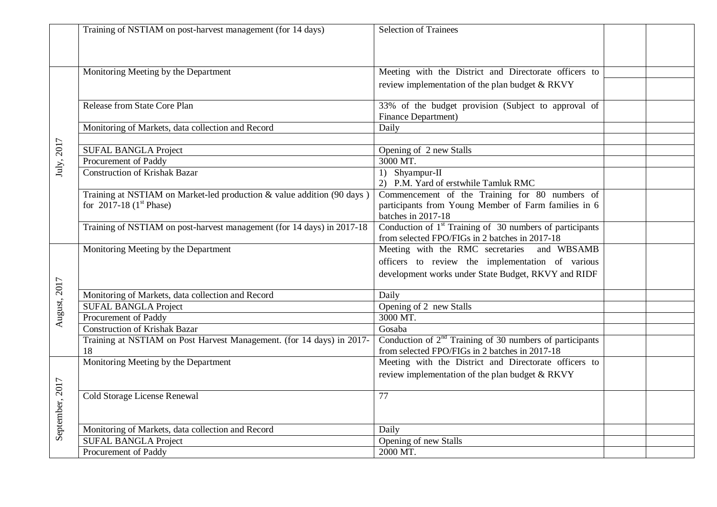|                 | Training of NSTIAM on post-harvest management (for 14 days)            | <b>Selection of Trainees</b>                                         |  |
|-----------------|------------------------------------------------------------------------|----------------------------------------------------------------------|--|
|                 |                                                                        |                                                                      |  |
|                 |                                                                        |                                                                      |  |
|                 | Monitoring Meeting by the Department                                   | Meeting with the District and Directorate officers to                |  |
|                 |                                                                        |                                                                      |  |
|                 |                                                                        | review implementation of the plan budget & RKVY                      |  |
|                 | Release from State Core Plan                                           | 33% of the budget provision (Subject to approval of                  |  |
| July, 2017      |                                                                        | <b>Finance Department</b> )                                          |  |
|                 | Monitoring of Markets, data collection and Record                      | Daily                                                                |  |
|                 |                                                                        |                                                                      |  |
|                 | <b>SUFAL BANGLA Project</b>                                            | Opening of 2 new Stalls                                              |  |
|                 | Procurement of Paddy                                                   | 3000 MT.                                                             |  |
|                 | <b>Construction of Krishak Bazar</b>                                   | 1) Shyampur-II                                                       |  |
|                 |                                                                        | 2) P.M. Yard of erstwhile Tamluk RMC                                 |  |
|                 | Training at NSTIAM on Market-led production & value addition (90 days) | Commencement of the Training for 80 numbers of                       |  |
|                 | for 2017-18 $(1st Phase)$                                              | participants from Young Member of Farm families in 6                 |  |
|                 |                                                                        | batches in 2017-18                                                   |  |
|                 | Training of NSTIAM on post-harvest management (for 14 days) in 2017-18 | Conduction of 1 <sup>st</sup> Training of 30 numbers of participants |  |
|                 |                                                                        | from selected FPO/FIGs in 2 batches in 2017-18                       |  |
|                 | Monitoring Meeting by the Department                                   | Meeting with the RMC secretaries and WBSAMB                          |  |
|                 |                                                                        | officers to review the implementation of various                     |  |
|                 |                                                                        | development works under State Budget, RKVY and RIDF                  |  |
| August, 2017    |                                                                        |                                                                      |  |
|                 | Monitoring of Markets, data collection and Record                      | Daily                                                                |  |
|                 | <b>SUFAL BANGLA Project</b>                                            | Opening of 2 new Stalls                                              |  |
|                 | Procurement of Paddy                                                   | 3000 MT.                                                             |  |
|                 | <b>Construction of Krishak Bazar</b>                                   | Gosaba                                                               |  |
|                 | Training at NSTIAM on Post Harvest Management. (for 14 days) in 2017-  | Conduction of $2nd$ Training of 30 numbers of participants           |  |
|                 | 18                                                                     | from selected FPO/FIGs in 2 batches in 2017-18                       |  |
|                 | Monitoring Meeting by the Department                                   | Meeting with the District and Directorate officers to                |  |
|                 |                                                                        | review implementation of the plan budget & RKVY                      |  |
|                 |                                                                        |                                                                      |  |
| September, 2017 | <b>Cold Storage License Renewal</b>                                    | 77                                                                   |  |
|                 |                                                                        |                                                                      |  |
|                 |                                                                        |                                                                      |  |
|                 | Monitoring of Markets, data collection and Record                      | Daily                                                                |  |
|                 | <b>SUFAL BANGLA Project</b>                                            | Opening of new Stalls                                                |  |
|                 | Procurement of Paddy                                                   | 2000 MT.                                                             |  |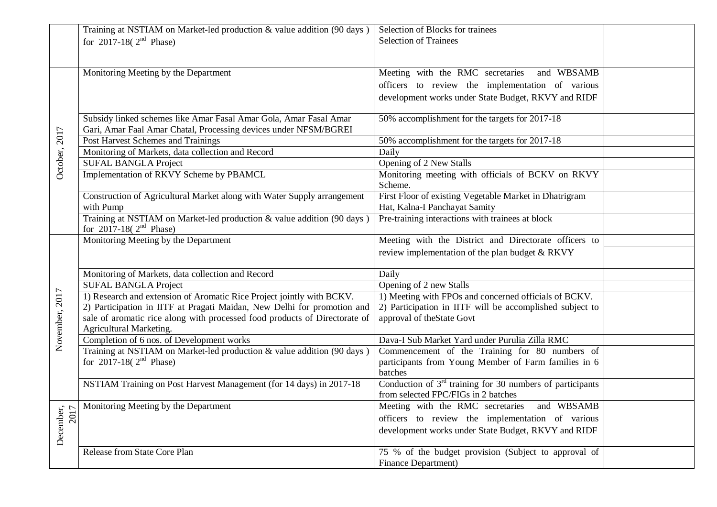| Training at NSTIAM on Market-led production & value addition (90 days)                                 | Selection of Blocks for trainees                                                                                                                                                                                                                                                                                                                                                                                                                                                                                                                                                               |                                                                                                                                                                                                                                                                                                                                                                                                                                                                                                    |
|--------------------------------------------------------------------------------------------------------|------------------------------------------------------------------------------------------------------------------------------------------------------------------------------------------------------------------------------------------------------------------------------------------------------------------------------------------------------------------------------------------------------------------------------------------------------------------------------------------------------------------------------------------------------------------------------------------------|----------------------------------------------------------------------------------------------------------------------------------------------------------------------------------------------------------------------------------------------------------------------------------------------------------------------------------------------------------------------------------------------------------------------------------------------------------------------------------------------------|
| for 2017-18( $2^{nd}$ Phase)                                                                           | <b>Selection of Trainees</b>                                                                                                                                                                                                                                                                                                                                                                                                                                                                                                                                                                   |                                                                                                                                                                                                                                                                                                                                                                                                                                                                                                    |
|                                                                                                        |                                                                                                                                                                                                                                                                                                                                                                                                                                                                                                                                                                                                |                                                                                                                                                                                                                                                                                                                                                                                                                                                                                                    |
| Monitoring Meeting by the Department                                                                   | Meeting with the RMC secretaries and WBSAMB                                                                                                                                                                                                                                                                                                                                                                                                                                                                                                                                                    |                                                                                                                                                                                                                                                                                                                                                                                                                                                                                                    |
|                                                                                                        | officers to review the implementation of various                                                                                                                                                                                                                                                                                                                                                                                                                                                                                                                                               |                                                                                                                                                                                                                                                                                                                                                                                                                                                                                                    |
|                                                                                                        | development works under State Budget, RKVY and RIDF                                                                                                                                                                                                                                                                                                                                                                                                                                                                                                                                            |                                                                                                                                                                                                                                                                                                                                                                                                                                                                                                    |
| Subsidy linked schemes like Amar Fasal Amar Gola, Amar Fasal Amar                                      | 50% accomplishment for the targets for 2017-18                                                                                                                                                                                                                                                                                                                                                                                                                                                                                                                                                 |                                                                                                                                                                                                                                                                                                                                                                                                                                                                                                    |
|                                                                                                        |                                                                                                                                                                                                                                                                                                                                                                                                                                                                                                                                                                                                |                                                                                                                                                                                                                                                                                                                                                                                                                                                                                                    |
|                                                                                                        |                                                                                                                                                                                                                                                                                                                                                                                                                                                                                                                                                                                                |                                                                                                                                                                                                                                                                                                                                                                                                                                                                                                    |
|                                                                                                        |                                                                                                                                                                                                                                                                                                                                                                                                                                                                                                                                                                                                |                                                                                                                                                                                                                                                                                                                                                                                                                                                                                                    |
|                                                                                                        |                                                                                                                                                                                                                                                                                                                                                                                                                                                                                                                                                                                                |                                                                                                                                                                                                                                                                                                                                                                                                                                                                                                    |
|                                                                                                        | Scheme.                                                                                                                                                                                                                                                                                                                                                                                                                                                                                                                                                                                        |                                                                                                                                                                                                                                                                                                                                                                                                                                                                                                    |
| Construction of Agricultural Market along with Water Supply arrangement                                |                                                                                                                                                                                                                                                                                                                                                                                                                                                                                                                                                                                                |                                                                                                                                                                                                                                                                                                                                                                                                                                                                                                    |
| with Pump                                                                                              | Hat, Kalna-I Panchayat Samity                                                                                                                                                                                                                                                                                                                                                                                                                                                                                                                                                                  |                                                                                                                                                                                                                                                                                                                                                                                                                                                                                                    |
| Training at NSTIAM on Market-led production & value addition (90 days)<br>for 2017-18( $2^{nd}$ Phase) | Pre-training interactions with trainees at block                                                                                                                                                                                                                                                                                                                                                                                                                                                                                                                                               |                                                                                                                                                                                                                                                                                                                                                                                                                                                                                                    |
| Monitoring Meeting by the Department                                                                   | Meeting with the District and Directorate officers to                                                                                                                                                                                                                                                                                                                                                                                                                                                                                                                                          |                                                                                                                                                                                                                                                                                                                                                                                                                                                                                                    |
|                                                                                                        | review implementation of the plan budget & RKVY                                                                                                                                                                                                                                                                                                                                                                                                                                                                                                                                                |                                                                                                                                                                                                                                                                                                                                                                                                                                                                                                    |
|                                                                                                        | Daily                                                                                                                                                                                                                                                                                                                                                                                                                                                                                                                                                                                          |                                                                                                                                                                                                                                                                                                                                                                                                                                                                                                    |
|                                                                                                        |                                                                                                                                                                                                                                                                                                                                                                                                                                                                                                                                                                                                |                                                                                                                                                                                                                                                                                                                                                                                                                                                                                                    |
|                                                                                                        |                                                                                                                                                                                                                                                                                                                                                                                                                                                                                                                                                                                                |                                                                                                                                                                                                                                                                                                                                                                                                                                                                                                    |
| 2) Participation in IITF at Pragati Maidan, New Delhi for promotion and                                | 2) Participation in IITF will be accomplished subject to                                                                                                                                                                                                                                                                                                                                                                                                                                                                                                                                       |                                                                                                                                                                                                                                                                                                                                                                                                                                                                                                    |
| sale of aromatic rice along with processed food products of Directorate of                             | approval of the State Govt                                                                                                                                                                                                                                                                                                                                                                                                                                                                                                                                                                     |                                                                                                                                                                                                                                                                                                                                                                                                                                                                                                    |
| Agricultural Marketing.                                                                                |                                                                                                                                                                                                                                                                                                                                                                                                                                                                                                                                                                                                |                                                                                                                                                                                                                                                                                                                                                                                                                                                                                                    |
|                                                                                                        | Dava-I Sub Market Yard under Purulia Zilla RMC                                                                                                                                                                                                                                                                                                                                                                                                                                                                                                                                                 |                                                                                                                                                                                                                                                                                                                                                                                                                                                                                                    |
| Training at NSTIAM on Market-led production & value addition (90 days)                                 | Commencement of the Training for 80 numbers of                                                                                                                                                                                                                                                                                                                                                                                                                                                                                                                                                 |                                                                                                                                                                                                                                                                                                                                                                                                                                                                                                    |
|                                                                                                        |                                                                                                                                                                                                                                                                                                                                                                                                                                                                                                                                                                                                |                                                                                                                                                                                                                                                                                                                                                                                                                                                                                                    |
|                                                                                                        | batches                                                                                                                                                                                                                                                                                                                                                                                                                                                                                                                                                                                        |                                                                                                                                                                                                                                                                                                                                                                                                                                                                                                    |
|                                                                                                        |                                                                                                                                                                                                                                                                                                                                                                                                                                                                                                                                                                                                |                                                                                                                                                                                                                                                                                                                                                                                                                                                                                                    |
|                                                                                                        |                                                                                                                                                                                                                                                                                                                                                                                                                                                                                                                                                                                                |                                                                                                                                                                                                                                                                                                                                                                                                                                                                                                    |
|                                                                                                        |                                                                                                                                                                                                                                                                                                                                                                                                                                                                                                                                                                                                |                                                                                                                                                                                                                                                                                                                                                                                                                                                                                                    |
|                                                                                                        | officers to review the implementation of various                                                                                                                                                                                                                                                                                                                                                                                                                                                                                                                                               |                                                                                                                                                                                                                                                                                                                                                                                                                                                                                                    |
|                                                                                                        | development works under State Budget, RKVY and RIDF                                                                                                                                                                                                                                                                                                                                                                                                                                                                                                                                            |                                                                                                                                                                                                                                                                                                                                                                                                                                                                                                    |
|                                                                                                        |                                                                                                                                                                                                                                                                                                                                                                                                                                                                                                                                                                                                |                                                                                                                                                                                                                                                                                                                                                                                                                                                                                                    |
| Release from State Core Plan                                                                           | 75 % of the budget provision (Subject to approval of                                                                                                                                                                                                                                                                                                                                                                                                                                                                                                                                           |                                                                                                                                                                                                                                                                                                                                                                                                                                                                                                    |
|                                                                                                        | Gari, Amar Faal Amar Chatal, Processing devices under NFSM/BGREI<br>Post Harvest Schemes and Trainings<br>Monitoring of Markets, data collection and Record<br><b>SUFAL BANGLA Project</b><br>Implementation of RKVY Scheme by PBAMCL<br>Monitoring of Markets, data collection and Record<br><b>SUFAL BANGLA Project</b><br>1) Research and extension of Aromatic Rice Project jointly with BCKV.<br>Completion of 6 nos. of Development works<br>for 2017-18( $2^{nd}$ Phase)<br>NSTIAM Training on Post Harvest Management (for 14 days) in 2017-18<br>Monitoring Meeting by the Department | 50% accomplishment for the targets for 2017-18<br>Daily<br>Opening of 2 New Stalls<br>Monitoring meeting with officials of BCKV on RKVY<br>First Floor of existing Vegetable Market in Dhatrigram<br>Opening of 2 new Stalls<br>1) Meeting with FPOs and concerned officials of BCKV.<br>participants from Young Member of Farm families in 6<br>Conduction of $3rd$ training for 30 numbers of participants<br>from selected FPC/FIGs in 2 batches<br>Meeting with the RMC secretaries and WBSAMB |